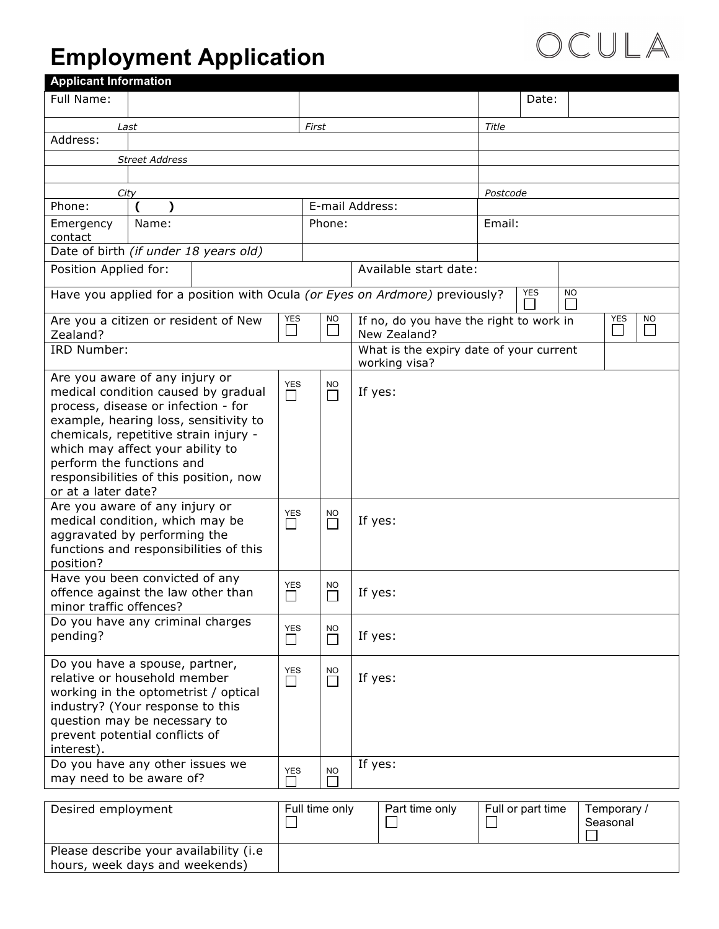## **Employment Application**

| <b>Applicant Information</b>                                                                                                                                                                                                                                                                                                     |                       |                                                                             |                      |                |                                                          |                       |        |       |                   |           |                         |
|----------------------------------------------------------------------------------------------------------------------------------------------------------------------------------------------------------------------------------------------------------------------------------------------------------------------------------|-----------------------|-----------------------------------------------------------------------------|----------------------|----------------|----------------------------------------------------------|-----------------------|--------|-------|-------------------|-----------|-------------------------|
| Full Name:                                                                                                                                                                                                                                                                                                                       |                       |                                                                             |                      |                |                                                          |                       |        |       | Date:             |           |                         |
| Last                                                                                                                                                                                                                                                                                                                             |                       |                                                                             |                      | First          |                                                          |                       |        | Title |                   |           |                         |
| Address:                                                                                                                                                                                                                                                                                                                         |                       |                                                                             |                      |                |                                                          |                       |        |       |                   |           |                         |
|                                                                                                                                                                                                                                                                                                                                  | <b>Street Address</b> |                                                                             |                      |                |                                                          |                       |        |       |                   |           |                         |
|                                                                                                                                                                                                                                                                                                                                  |                       |                                                                             |                      |                |                                                          |                       |        |       |                   |           |                         |
| City                                                                                                                                                                                                                                                                                                                             |                       |                                                                             |                      |                |                                                          | Postcode              |        |       |                   |           |                         |
| Phone:                                                                                                                                                                                                                                                                                                                           |                       |                                                                             |                      |                | E-mail Address:                                          |                       |        |       |                   |           |                         |
| Emergency<br>contact                                                                                                                                                                                                                                                                                                             | Name:                 |                                                                             |                      | Phone:         |                                                          |                       | Email: |       |                   |           |                         |
| Date of birth (if under 18 years old)                                                                                                                                                                                                                                                                                            |                       |                                                                             |                      |                |                                                          |                       |        |       |                   |           |                         |
| Position Applied for:                                                                                                                                                                                                                                                                                                            |                       |                                                                             |                      |                |                                                          | Available start date: |        |       |                   |           |                         |
|                                                                                                                                                                                                                                                                                                                                  |                       | Have you applied for a position with Ocula (or Eyes on Ardmore) previously? |                      |                |                                                          |                       |        |       | <b>YES</b>        | <b>NO</b> |                         |
| Are you a citizen or resident of New<br>Zealand?                                                                                                                                                                                                                                                                                 |                       |                                                                             | <b>YES</b>           | <b>NO</b>      | If no, do you have the right to work in<br>New Zealand?  |                       |        |       | <b>YES</b><br>ΝO  |           |                         |
| IRD Number:                                                                                                                                                                                                                                                                                                                      |                       |                                                                             |                      |                | What is the expiry date of your current<br>working visa? |                       |        |       |                   |           |                         |
| Are you aware of any injury or<br>medical condition caused by gradual<br>process, disease or infection - for<br>example, hearing loss, sensitivity to<br>chemicals, repetitive strain injury -<br>which may affect your ability to<br>perform the functions and<br>responsibilities of this position, now<br>or at a later date? |                       |                                                                             | <b>YES</b><br>П      | NO.<br>П       |                                                          | If yes:               |        |       |                   |           |                         |
| Are you aware of any injury or<br>medical condition, which may be<br>aggravated by performing the<br>functions and responsibilities of this<br>position?                                                                                                                                                                         |                       |                                                                             | YES<br>$\Box$        | NO.<br>П       |                                                          | If yes:               |        |       |                   |           |                         |
| Have you been convicted of any<br>offence against the law other than<br>minor traffic offences?                                                                                                                                                                                                                                  |                       |                                                                             | <b>YES</b><br>$\Box$ | NO.<br>$\Box$  |                                                          | If yes:               |        |       |                   |           |                         |
| Do you have any criminal charges<br>pending?                                                                                                                                                                                                                                                                                     |                       |                                                                             | <b>YES</b><br>⊔      | NO<br>$\Box$   |                                                          | If yes:               |        |       |                   |           |                         |
| Do you have a spouse, partner,<br>relative or household member<br>working in the optometrist / optical<br>industry? (Your response to this<br>question may be necessary to<br>prevent potential conflicts of<br>interest).                                                                                                       |                       |                                                                             | YES<br>$\Box$        | NO.<br>$\Box$  |                                                          | If yes:               |        |       |                   |           |                         |
| Do you have any other issues we<br>may need to be aware of?                                                                                                                                                                                                                                                                      |                       |                                                                             | <b>YES</b>           | <b>NO</b>      |                                                          | If yes:               |        |       |                   |           |                         |
| Desired employment                                                                                                                                                                                                                                                                                                               |                       |                                                                             |                      | Full time only |                                                          | Part time only        |        |       | Full or part time |           | Temporary /<br>Seasonal |
| Please describe your availability (i.e.<br>hours, week days and weekends)                                                                                                                                                                                                                                                        |                       |                                                                             |                      |                |                                                          |                       |        |       |                   |           |                         |

OCULA

| hours, week days and weekends) |
|--------------------------------|
|                                |
|                                |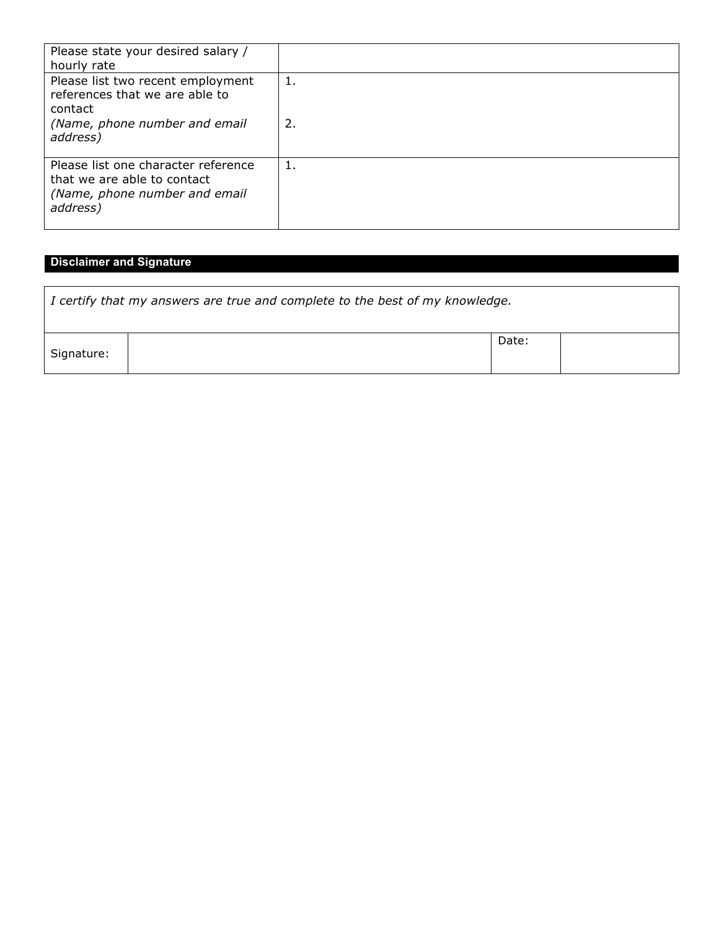| Please state your desired salary /<br>hourly rate                                                                           |          |
|-----------------------------------------------------------------------------------------------------------------------------|----------|
| Please list two recent employment<br>references that we are able to<br>contact<br>(Name, phone number and email<br>address) | 1.<br>2. |
| Please list one character reference<br>that we are able to contact<br>(Name, phone number and email<br>address)             | ı.       |

## **Disclaimer and Signature**

| $\mid$ I certify that my answers are true and complete to the best of my knowledge. |  |       |  |  |  |  |
|-------------------------------------------------------------------------------------|--|-------|--|--|--|--|
| Signature:                                                                          |  | Date: |  |  |  |  |